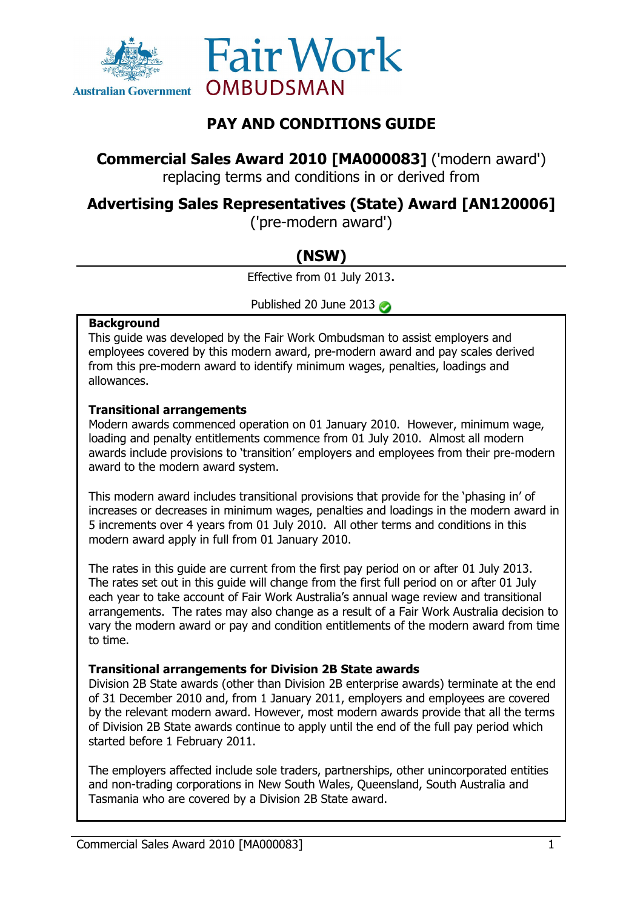



## **PAY AND CONDITIONS GUIDE**

**Commercial Sales Award 2010 [MA000083]** ('modern award')

replacing terms and conditions in or derived from

## **Advertising Sales Representatives (State) Award [AN120006]**

('pre-modern award')

# **(NSW)**

Effective from 01 July 2013.

Published 20 June 2013

### **Background**

This guide was developed by the Fair Work Ombudsman to assist employers and employees covered by this modern award, pre-modern award and pay scales derived from this pre-modern award to identify minimum wages, penalties, loadings and allowances.

### **Transitional arrangements**

Modern awards commenced operation on 01 January 2010. However, minimum wage, loading and penalty entitlements commence from 01 July 2010. Almost all modern awards include provisions to 'transition' employers and employees from their pre-modern award to the modern award system.

This modern award includes transitional provisions that provide for the 'phasing in' of increases or decreases in minimum wages, penalties and loadings in the modern award in 5 increments over 4 years from 01 July 2010. All other terms and conditions in this modern award apply in full from 01 January 2010.

The rates in this guide are current from the first pay period on or after 01 July 2013. The rates set out in this guide will change from the first full period on or after 01 July each year to take account of Fair Work Australia's annual wage review and transitional arrangements. The rates may also change as a result of a Fair Work Australia decision to vary the modern award or pay and condition entitlements of the modern award from time to time.

## **Transitional arrangements for Division 2B State awards**

Division 2B State awards (other than Division 2B enterprise awards) terminate at the end of 31 December 2010 and, from 1 January 2011, employers and employees are covered by the relevant modern award. However, most modern awards provide that all the terms of Division 2B State awards continue to apply until the end of the full pay period which started before 1 February 2011.

The employers affected include sole traders, partnerships, other unincorporated entities and non-trading corporations in New South Wales, Queensland, South Australia and Tasmania who are covered by a Division 2B State award.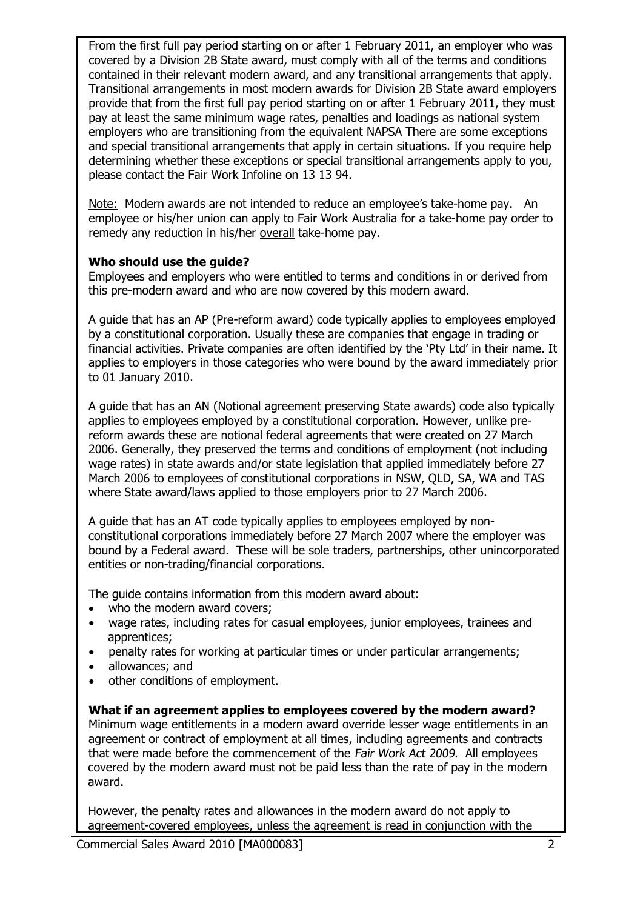From the first full pay period starting on or after 1 February 2011, an employer who was covered by a Division 2B State award, must comply with all of the terms and conditions contained in their relevant modern award, and any transitional arrangements that apply. Transitional arrangements in most modern awards for Division 2B State award employers provide that from the first full pay period starting on or after 1 February 2011, they must pay at least the same minimum wage rates, penalties and loadings as national system employers who are transitioning from the equivalent NAPSA There are some exceptions and special transitional arrangements that apply in certain situations. If you require help determining whether these exceptions or special transitional arrangements apply to you, please contact the Fair Work Infoline on 13 13 94.

Note: Modern awards are not intended to reduce an employee's take-home pay. An employee or his/her union can apply to Fair Work Australia for a take-home pay order to remedy any reduction in his/her overall take-home pay.

### **Who should use the guide?**

Employees and employers who were entitled to terms and conditions in or derived from this pre-modern award and who are now covered by this modern award.

A guide that has an AP (Pre-reform award) code typically applies to employees employed by a constitutional corporation. Usually these are companies that engage in trading or financial activities. Private companies are often identified by the 'Pty Ltd' in their name. It applies to employers in those categories who were bound by the award immediately prior to 01 January 2010.

A guide that has an AN (Notional agreement preserving State awards) code also typically applies to employees employed by a constitutional corporation. However, unlike prereform awards these are notional federal agreements that were created on 27 March 2006. Generally, they preserved the terms and conditions of employment (not including wage rates) in state awards and/or state legislation that applied immediately before 27 March 2006 to employees of constitutional corporations in NSW, QLD, SA, WA and TAS where State award/laws applied to those employers prior to 27 March 2006.

A guide that has an AT code typically applies to employees employed by nonconstitutional corporations immediately before 27 March 2007 where the employer was bound by a Federal award. These will be sole traders, partnerships, other unincorporated entities or non-trading/financial corporations.

The guide contains information from this modern award about:

- who the modern award covers;
- wage rates, including rates for casual employees, junior employees, trainees and apprentices;
- penalty rates for working at particular times or under particular arrangements;
- allowances; and
- other conditions of employment.

**What if an agreement applies to employees covered by the modern award?** Minimum wage entitlements in a modern award override lesser wage entitlements in an agreement or contract of employment at all times, including agreements and contracts that were made before the commencement of the Fair Work Act 2009. All employees covered by the modern award must not be paid less than the rate of pay in the modern award.

However, the penalty rates and allowances in the modern award do not apply to agreement-covered employees, unless the agreement is read in conjunction with the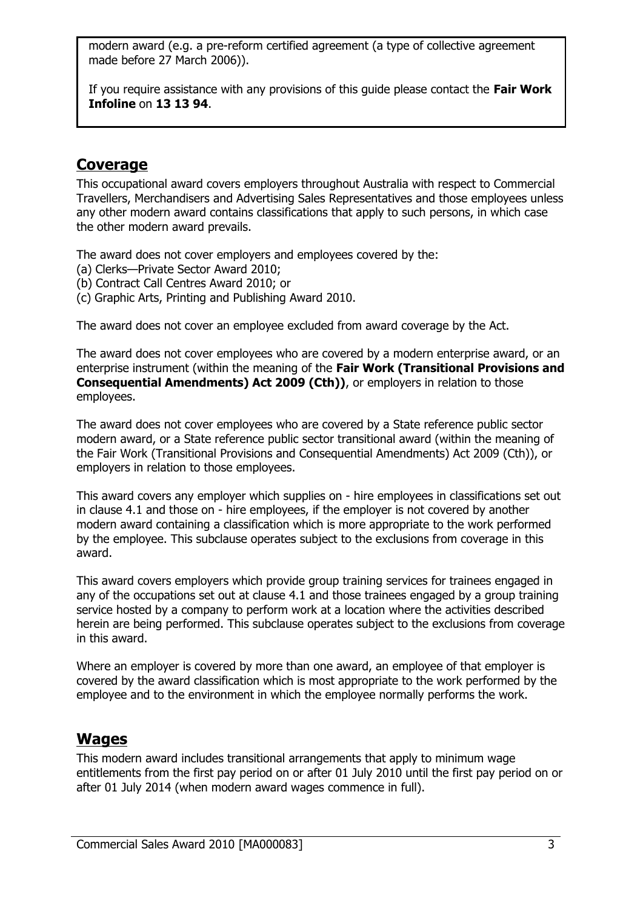modern award (e.g. a pre-reform certified agreement (a type of collective agreement made before 27 March 2006)).

If you require assistance with any provisions of this guide please contact the **Fair Work Infoline** on **13 13 94**.

## **Coverage**

This occupational award covers employers throughout Australia with respect to Commercial Travellers, Merchandisers and Advertising Sales Representatives and those employees unless any other modern award contains classifications that apply to such persons, in which case the other modern award prevails.

The award does not cover employers and employees covered by the:

- (a) Clerks—Private Sector Award 2010;
- (b) Contract Call Centres Award 2010; or
- (c) Graphic Arts, Printing and Publishing Award 2010.

The award does not cover an employee excluded from award coverage by the Act.

The award does not cover employees who are covered by a modern enterprise award, or an enterprise instrument (within the meaning of the **Fair Work (Transitional Provisions and Consequential Amendments) Act 2009 (Cth))**, or employers in relation to those employees.

The award does not cover employees who are covered by a State reference public sector modern award, or a State reference public sector transitional award (within the meaning of the Fair Work (Transitional Provisions and Consequential Amendments) Act 2009 (Cth)), or employers in relation to those employees.

This award covers any employer which supplies on - hire employees in classifications set out in clause 4.1 and those on - hire employees, if the employer is not covered by another modern award containing a classification which is more appropriate to the work performed by the employee. This subclause operates subject to the exclusions from coverage in this award.

This award covers employers which provide group training services for trainees engaged in any of the occupations set out at clause 4.1 and those trainees engaged by a group training service hosted by a company to perform work at a location where the activities described herein are being performed. This subclause operates subject to the exclusions from coverage in this award.

Where an employer is covered by more than one award, an employee of that employer is covered by the award classification which is most appropriate to the work performed by the employee and to the environment in which the employee normally performs the work.

## **Wages**

This modern award includes transitional arrangements that apply to minimum wage entitlements from the first pay period on or after 01 July 2010 until the first pay period on or after 01 July 2014 (when modern award wages commence in full).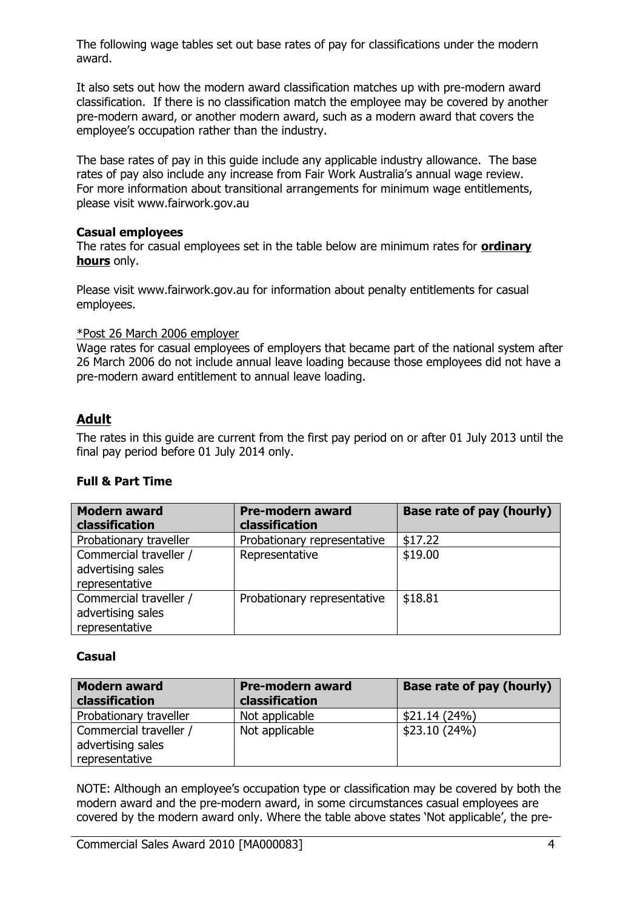The following wage tables set out base rates of pay for classifications under the modern award.

It also sets out how the modern award classification matches up with pre-modern award classification. If there is no classification match the employee may be covered by another pre-modern award, or another modern award, such as a modern award that covers the employee's occupation rather than the industry.

The base rates of pay in this guide include any applicable industry allowance. The base rates of pay also include any increase from Fair Work Australia's annual wage review. For more information about transitional arrangements for minimum wage entitlements, please visit www.fairwork.gov.au

#### **Casual employees**

The rates for casual employees set in the table below are minimum rates for **ordinary hours** only.

Please visit www.fairwork.gov.au for information about penalty entitlements for casual employees.

#### \*Post 26 March 2006 employer

Wage rates for casual employees of employers that became part of the national system after 26 March 2006 do not include annual leave loading because those employees did not have a pre-modern award entitlement to annual leave loading.

## **Adult**

The rates in this guide are current from the first pay period on or after 01 July 2013 until the final pay period before 01 July 2014 only.

### **Full & Part Time**

| <b>Modern award</b><br>classification                         | <b>Pre-modern award</b><br>classification | Base rate of pay (hourly) |
|---------------------------------------------------------------|-------------------------------------------|---------------------------|
| Probationary traveller                                        | Probationary representative               | \$17.22                   |
| Commercial traveller /<br>advertising sales<br>representative | Representative                            | \$19.00                   |
| Commercial traveller /<br>advertising sales<br>representative | Probationary representative               | \$18.81                   |

### **Casual**

| <b>Modern award</b><br>classification | <b>Pre-modern award</b><br>classification | <b>Base rate of pay (hourly)</b> |
|---------------------------------------|-------------------------------------------|----------------------------------|
| Probationary traveller                | Not applicable                            | \$21.14(24%)                     |
| Commercial traveller /                | Not applicable                            | \$23.10(24%)                     |
| advertising sales                     |                                           |                                  |
| representative                        |                                           |                                  |

NOTE: Although an employee's occupation type or classification may be covered by both the modern award and the pre-modern award, in some circumstances casual employees are covered by the modern award only. Where the table above states 'Not applicable', the pre-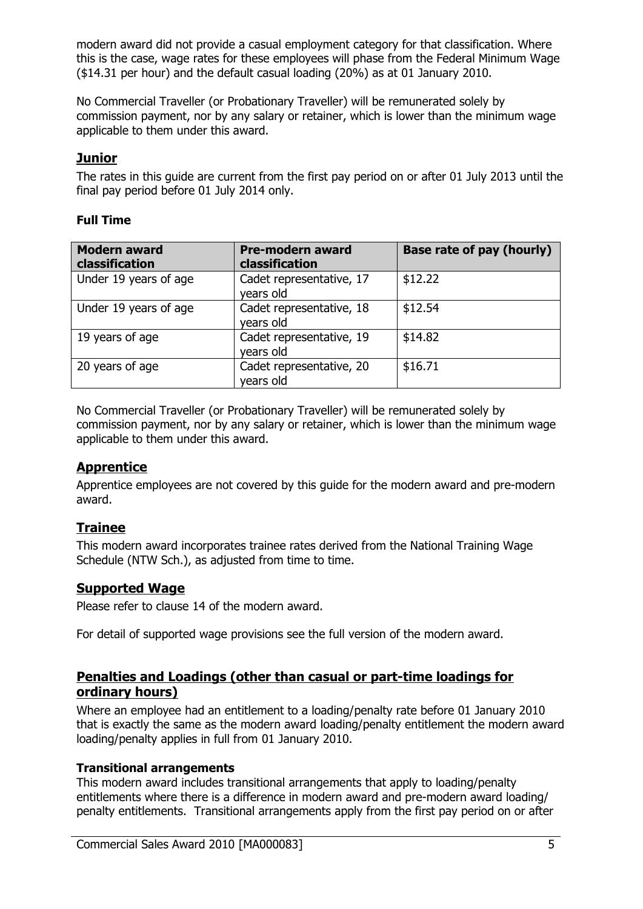modern award did not provide a casual employment category for that classification. Where this is the case, wage rates for these employees will phase from the Federal Minimum Wage (\$14.31 per hour) and the default casual loading (20%) as at 01 January 2010.

No Commercial Traveller (or Probationary Traveller) will be remunerated solely by commission payment, nor by any salary or retainer, which is lower than the minimum wage applicable to them under this award.

## **Junior**

The rates in this guide are current from the first pay period on or after 01 July 2013 until the final pay period before 01 July 2014 only.

### **Full Time**

| <b>Modern award</b><br>classification | <b>Pre-modern award</b><br>classification | Base rate of pay (hourly) |
|---------------------------------------|-------------------------------------------|---------------------------|
| Under 19 years of age                 | Cadet representative, 17<br>years old     | \$12.22                   |
| Under 19 years of age                 | Cadet representative, 18<br>years old     | \$12.54                   |
| 19 years of age                       | Cadet representative, 19<br>years old     | \$14.82                   |
| 20 years of age                       | Cadet representative, 20<br>years old     | \$16.71                   |

No Commercial Traveller (or Probationary Traveller) will be remunerated solely by commission payment, nor by any salary or retainer, which is lower than the minimum wage applicable to them under this award.

## **Apprentice**

Apprentice employees are not covered by this guide for the modern award and pre-modern award.

## **Trainee**

This modern award incorporates trainee rates derived from the National Training Wage Schedule (NTW Sch.), as adjusted from time to time.

## **Supported Wage**

Please refer to clause 14 of the modern award.

For detail of supported wage provisions see the full version of the modern award.

## **Penalties and Loadings (other than casual or part-time loadings for ordinary hours)**

Where an employee had an entitlement to a loading/penalty rate before 01 January 2010 that is exactly the same as the modern award loading/penalty entitlement the modern award loading/penalty applies in full from 01 January 2010.

### **Transitional arrangements**

This modern award includes transitional arrangements that apply to loading/penalty entitlements where there is a difference in modern award and pre-modern award loading/ penalty entitlements. Transitional arrangements apply from the first pay period on or after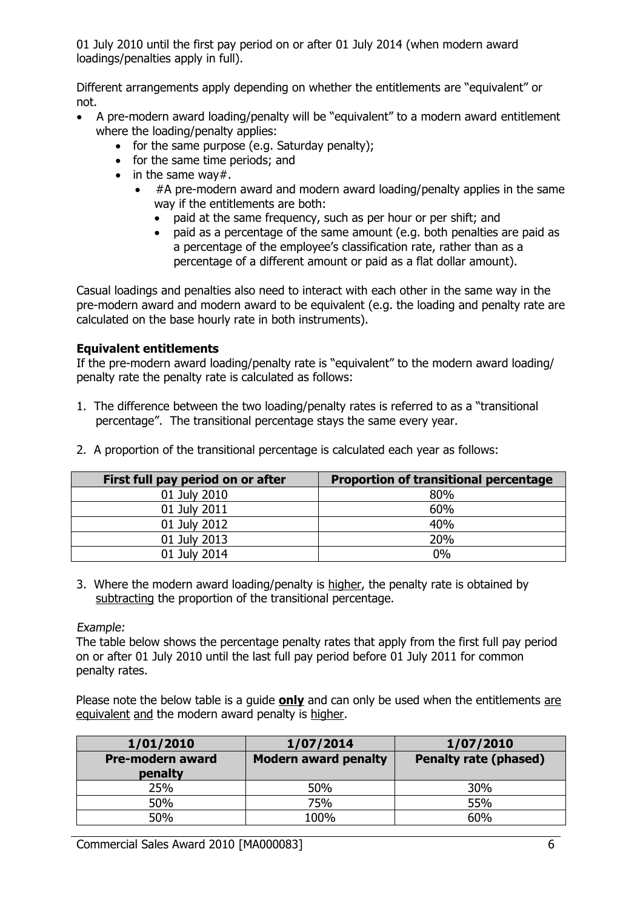01 July 2010 until the first pay period on or after 01 July 2014 (when modern award loadings/penalties apply in full).

Different arrangements apply depending on whether the entitlements are "equivalent" or not.

- A pre-modern award loading/penalty will be "equivalent" to a modern award entitlement where the loading/penalty applies:
	- $\bullet$  for the same purpose (e.g. Saturday penalty);
	- for the same time periods; and
	- $\bullet$  in the same way#.
		- #A pre-modern award and modern award loading/penalty applies in the same way if the entitlements are both:
			- paid at the same frequency, such as per hour or per shift; and
			- paid as a percentage of the same amount (e.g. both penalties are paid as a percentage of the employee's classification rate, rather than as a percentage of a different amount or paid as a flat dollar amount).

Casual loadings and penalties also need to interact with each other in the same way in the pre-modern award and modern award to be equivalent (e.g. the loading and penalty rate are calculated on the base hourly rate in both instruments).

### **Equivalent entitlements**

If the pre-modern award loading/penalty rate is "equivalent" to the modern award loading/ penalty rate the penalty rate is calculated as follows:

1. The difference between the two loading/penalty rates is referred to as a "transitional percentage". The transitional percentage stays the same every year.

| First full pay period on or after | <b>Proportion of transitional percentage</b> |
|-----------------------------------|----------------------------------------------|
| 01 July 2010                      | 80%                                          |
| 01 July 2011                      | 60%                                          |
| 01 July 2012                      | 40%                                          |
| 01 July 2013                      | 20%                                          |
| 01 July 2014                      | $0\%$                                        |

2. A proportion of the transitional percentage is calculated each year as follows:

3. Where the modern award loading/penalty is higher, the penalty rate is obtained by subtracting the proportion of the transitional percentage.

Example:

The table below shows the percentage penalty rates that apply from the first full pay period on or after 01 July 2010 until the last full pay period before 01 July 2011 for common penalty rates.

Please note the below table is a guide **only** and can only be used when the entitlements are equivalent and the modern award penalty is higher.

| 1/01/2010                          | 1/07/2014                   | 1/07/2010                    |
|------------------------------------|-----------------------------|------------------------------|
| <b>Pre-modern award</b><br>penalty | <b>Modern award penalty</b> | <b>Penalty rate (phased)</b> |
| 25%                                | 50%                         | 30%                          |
| 50%                                | 75%                         | 55%                          |
| 50%                                | 100%                        | 60%                          |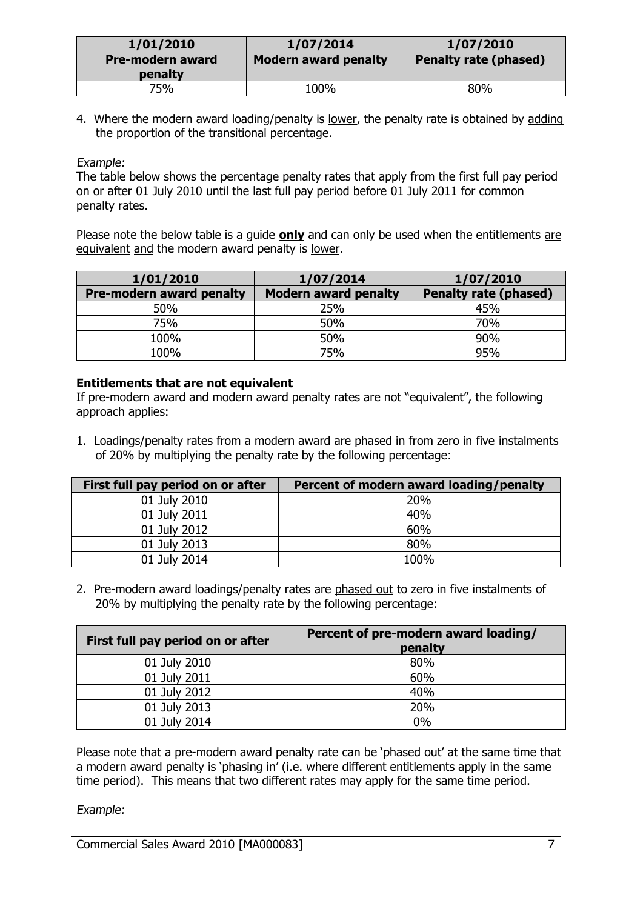| 1/01/2010                          | 1/07/2014            | 1/07/2010                    |
|------------------------------------|----------------------|------------------------------|
| <b>Pre-modern award</b><br>penalty | Modern award penalty | <b>Penalty rate (phased)</b> |
| 75%                                | 100%                 | 80%                          |

4. Where the modern award loading/penalty is lower, the penalty rate is obtained by adding the proportion of the transitional percentage.

### Example:

The table below shows the percentage penalty rates that apply from the first full pay period on or after 01 July 2010 until the last full pay period before 01 July 2011 for common penalty rates.

Please note the below table is a guide **only** and can only be used when the entitlements are equivalent and the modern award penalty is lower.

| 1/01/2010                       | 1/07/2014                   | 1/07/2010                    |
|---------------------------------|-----------------------------|------------------------------|
| <b>Pre-modern award penalty</b> | <b>Modern award penalty</b> | <b>Penalty rate (phased)</b> |
| 50%                             | 25%                         | 45%                          |
| 75%                             | 50%                         | 70%                          |
| 100%                            | 50%                         | 90%                          |
| 100%                            | 75%                         | 95%                          |

#### **Entitlements that are not equivalent**

If pre-modern award and modern award penalty rates are not "equivalent", the following approach applies:

1. Loadings/penalty rates from a modern award are phased in from zero in five instalments of 20% by multiplying the penalty rate by the following percentage:

| First full pay period on or after | Percent of modern award loading/penalty |
|-----------------------------------|-----------------------------------------|
| 01 July 2010                      | 20%                                     |
| 01 July 2011                      | 40%                                     |
| 01 July 2012                      | 60%                                     |
| 01 July 2013                      | 80%                                     |
| 01 July 2014                      | 100%                                    |

2. Pre-modern award loadings/penalty rates are phased out to zero in five instalments of 20% by multiplying the penalty rate by the following percentage:

| First full pay period on or after | Percent of pre-modern award loading/<br>penalty |
|-----------------------------------|-------------------------------------------------|
| 01 July 2010                      | 80%                                             |
| 01 July 2011                      | 60%                                             |
| 01 July 2012                      | 40%                                             |
| 01 July 2013                      | 20%                                             |
| 01 July 2014                      | 0%                                              |

Please note that a pre-modern award penalty rate can be 'phased out' at the same time that a modern award penalty is 'phasing in' (i.e. where different entitlements apply in the same time period). This means that two different rates may apply for the same time period.

Example: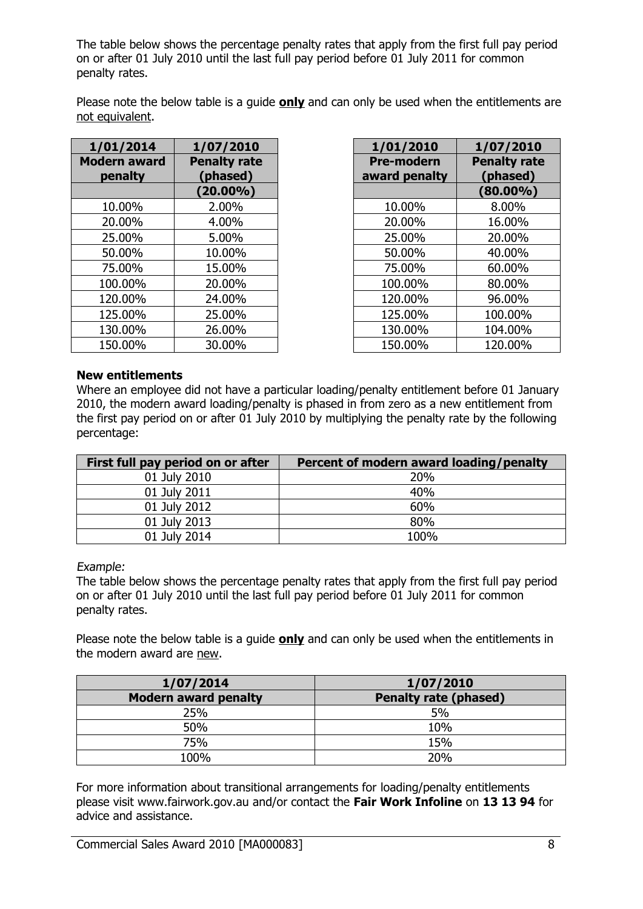The table below shows the percentage penalty rates that apply from the first full pay period on or after 01 July 2010 until the last full pay period before 01 July 2011 for common penalty rates.

Please note the below table is a guide **only** and can only be used when the entitlements are not equivalent.

| 1/01/2014                      | 1/07/2010                       | 1/01/2010                          | 1/07/2010                       |
|--------------------------------|---------------------------------|------------------------------------|---------------------------------|
| <b>Modern award</b><br>penalty | <b>Penalty rate</b><br>(phased) | <b>Pre-modern</b><br>award penalty | <b>Penalty rate</b><br>(phased) |
|                                | $(20.00\%)$                     |                                    | $(80.00\%)$                     |
| 10.00%                         | 2.00%                           | 10.00%                             | 8.00%                           |
| 20.00%                         | 4.00%                           | 20.00%                             | 16.00%                          |
| 25.00%                         | 5.00%                           | 25.00%                             | 20.00%                          |
| 50.00%                         | 10.00%                          | 50.00%                             | 40.00%                          |
| 75.00%                         | 15.00%                          | 75.00%                             | 60.00%                          |
| 100.00%                        | 20.00%                          | 100.00%                            | 80.00%                          |
| 120.00%                        | 24.00%                          | 120.00%                            | 96.00%                          |
| 125.00%                        | 25.00%                          | 125.00%                            | 100.00%                         |
| 130.00%                        | 26.00%                          | 130.00%                            | 104.00%                         |
| 150.00%                        | 30.00%                          | 150.00%                            | 120.00%                         |

| L/07/2010               | 1/01/2010                          | 1/07/2010                       |
|-------------------------|------------------------------------|---------------------------------|
| enalty rate<br>(phased) | <b>Pre-modern</b><br>award penalty | <b>Penalty rate</b><br>(phased) |
| $(20.00\%)$             |                                    | $(80.00\%)$                     |
| 2.00%                   | 10.00%                             | 8.00%                           |
| 4.00%                   | 20.00%                             | 16.00%                          |
| 5.00%                   | 25.00%                             | 20.00%                          |
| 10.00%                  | 50.00%                             | 40.00%                          |
| 15.00%                  | 75.00%                             | 60.00%                          |
| 20.00%                  | 100.00%                            | 80.00%                          |
| 24.00%                  | 120.00%                            | 96.00%                          |
| 25.00%                  | 125.00%                            | 100.00%                         |
| 26.00%                  | 130.00%                            | 104.00%                         |
| 30.00%                  | 150.00%                            | 120.00%                         |

### **New entitlements**

Where an employee did not have a particular loading/penalty entitlement before 01 January 2010, the modern award loading/penalty is phased in from zero as a new entitlement from the first pay period on or after 01 July 2010 by multiplying the penalty rate by the following percentage:

| First full pay period on or after | Percent of modern award loading/penalty |
|-----------------------------------|-----------------------------------------|
| 01 July 2010                      | 20%                                     |
| 01 July 2011                      | 40%                                     |
| 01 July 2012                      | 60%                                     |
| 01 July 2013                      | 80%                                     |
| 01 July 2014                      | 100%                                    |

Example:

The table below shows the percentage penalty rates that apply from the first full pay period on or after 01 July 2010 until the last full pay period before 01 July 2011 for common penalty rates.

Please note the below table is a guide **only** and can only be used when the entitlements in the modern award are new.

| 1/07/2014                   | 1/07/2010                    |
|-----------------------------|------------------------------|
| <b>Modern award penalty</b> | <b>Penalty rate (phased)</b> |
| 25%                         | 5%                           |
| 50%                         | 10%                          |
| 75%                         | 15%                          |
| 100%                        | 20%                          |

For more information about transitional arrangements for loading/penalty entitlements please visit www.fairwork.gov.au and/or contact the **Fair Work Infoline** on **13 13 94** for advice and assistance.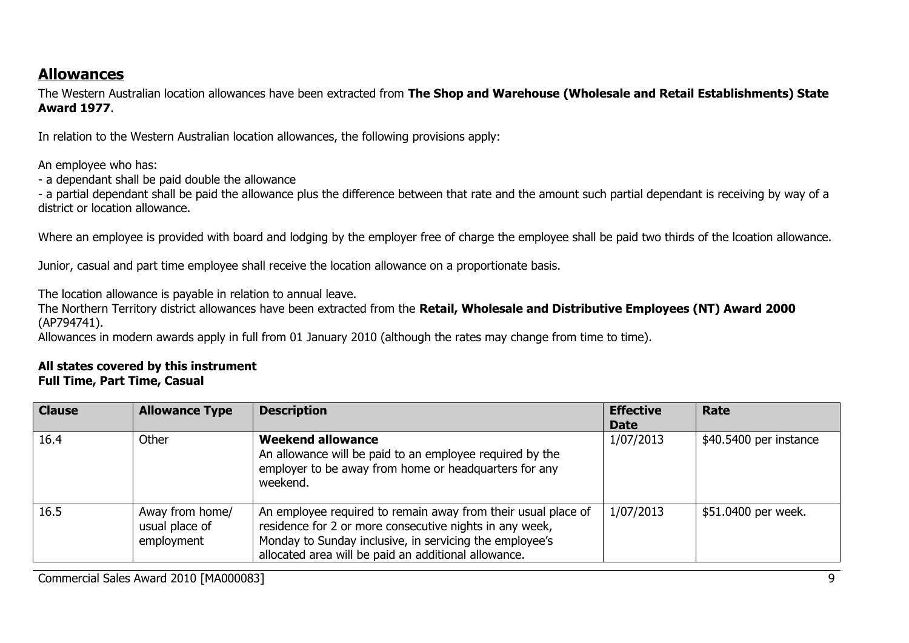## **Allowances**

The Western Australian location allowances have been extracted from **The Shop and Warehouse (Wholesale and Retail Establishments) State Award 1977**.

In relation to the Western Australian location allowances, the following provisions apply:

An employee who has:

- a dependant shall be paid double the allowance

- a partial dependant shall be paid the allowance plus the difference between that rate and the amount such partial dependant is receiving by way of a district or location allowance.

Where an employee is provided with board and lodging by the employer free of charge the employee shall be paid two thirds of the lcoation allowance.

Junior, casual and part time employee shall receive the location allowance on a proportionate basis.

The location allowance is payable in relation to annual leave.

The Northern Territory district allowances have been extracted from the **Retail, Wholesale and Distributive Employees (NT) Award 2000**  (AP794741).

Allowances in modern awards apply in full from 01 January 2010 (although the rates may change from time to time).

#### **All states covered by this instrument Full Time, Part Time, Casual**

| <b>Clause</b> | <b>Allowance Type</b>                           | <b>Description</b>                                                                                                                                                                                                                          | <b>Effective</b><br><b>Date</b> | Rate                   |
|---------------|-------------------------------------------------|---------------------------------------------------------------------------------------------------------------------------------------------------------------------------------------------------------------------------------------------|---------------------------------|------------------------|
| 16.4          | Other                                           | <b>Weekend allowance</b><br>An allowance will be paid to an employee required by the<br>employer to be away from home or headquarters for any<br>weekend.                                                                                   | 1/07/2013                       | \$40.5400 per instance |
| 16.5          | Away from home/<br>usual place of<br>employment | An employee required to remain away from their usual place of<br>residence for 2 or more consecutive nights in any week,<br>Monday to Sunday inclusive, in servicing the employee's<br>allocated area will be paid an additional allowance. | 1/07/2013                       | \$51.0400 per week.    |

Commercial Sales Award 2010 [MA000083] 9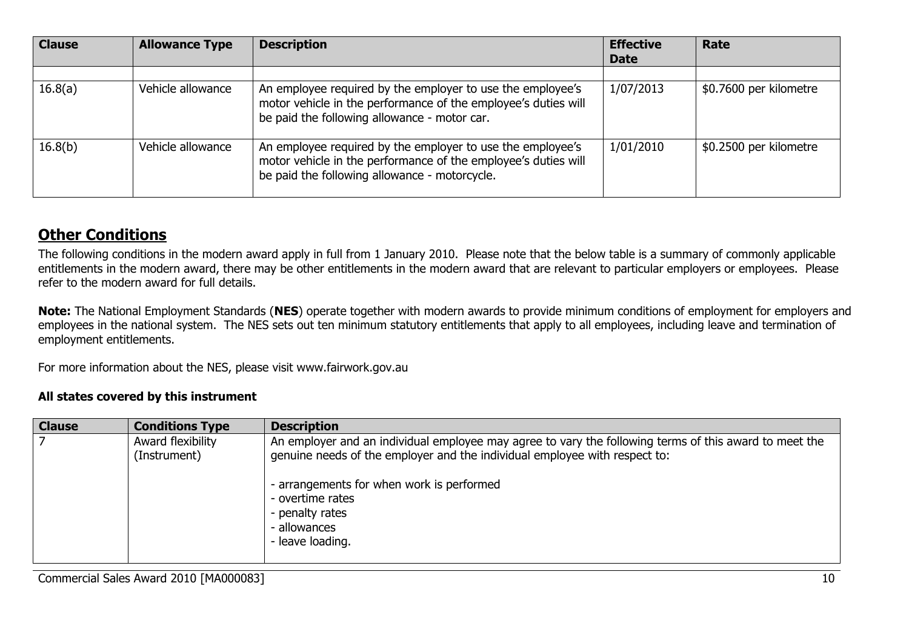| <b>Clause</b> | <b>Allowance Type</b> | <b>Description</b>                                                                                                                                                            | <b>Effective</b><br><b>Date</b> | Rate                   |
|---------------|-----------------------|-------------------------------------------------------------------------------------------------------------------------------------------------------------------------------|---------------------------------|------------------------|
|               |                       |                                                                                                                                                                               |                                 |                        |
| 16.8(a)       | Vehicle allowance     | An employee required by the employer to use the employee's<br>motor vehicle in the performance of the employee's duties will<br>be paid the following allowance - motor car.  | 1/07/2013                       | \$0.7600 per kilometre |
| 16.8(b)       | Vehicle allowance     | An employee required by the employer to use the employee's<br>motor vehicle in the performance of the employee's duties will<br>be paid the following allowance - motorcycle. | 1/01/2010                       | \$0.2500 per kilometre |

## **Other Conditions**

The following conditions in the modern award apply in full from 1 January 2010. Please note that the below table is a summary of commonly applicable entitlements in the modern award, there may be other entitlements in the modern award that are relevant to particular employers or employees. Please refer to the modern award for full details.

**Note:** The National Employment Standards (**NES**) operate together with modern awards to provide minimum conditions of employment for employers and employees in the national system. The NES sets out ten minimum statutory entitlements that apply to all employees, including leave and termination of employment entitlements.

For more information about the NES, please visit www.fairwork.gov.au

#### **All states covered by this instrument**

| <b>Clause</b> | <b>Conditions Type</b>            | <b>Description</b>                                                                                                                                                                                                                                                                                           |
|---------------|-----------------------------------|--------------------------------------------------------------------------------------------------------------------------------------------------------------------------------------------------------------------------------------------------------------------------------------------------------------|
|               | Award flexibility<br>(Instrument) | An employer and an individual employee may agree to vary the following terms of this award to meet the<br>genuine needs of the employer and the individual employee with respect to:<br>- arrangements for when work is performed<br>- overtime rates<br>- penalty rates<br>- allowances<br>- leave loading. |
|               |                                   |                                                                                                                                                                                                                                                                                                              |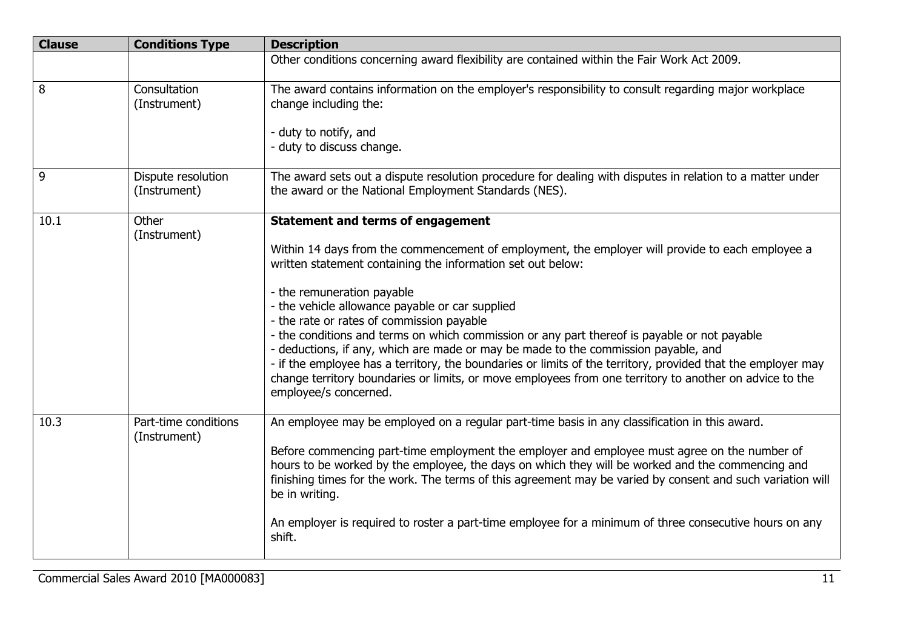| <b>Clause</b> | <b>Conditions Type</b>               | <b>Description</b>                                                                                                                                                                                                                                                                                                                                                                                                                                                                                                                                                                                                                                                                                                                                                                  |
|---------------|--------------------------------------|-------------------------------------------------------------------------------------------------------------------------------------------------------------------------------------------------------------------------------------------------------------------------------------------------------------------------------------------------------------------------------------------------------------------------------------------------------------------------------------------------------------------------------------------------------------------------------------------------------------------------------------------------------------------------------------------------------------------------------------------------------------------------------------|
|               |                                      | Other conditions concerning award flexibility are contained within the Fair Work Act 2009.                                                                                                                                                                                                                                                                                                                                                                                                                                                                                                                                                                                                                                                                                          |
| 8             | Consultation<br>(Instrument)         | The award contains information on the employer's responsibility to consult regarding major workplace<br>change including the:<br>- duty to notify, and<br>- duty to discuss change.                                                                                                                                                                                                                                                                                                                                                                                                                                                                                                                                                                                                 |
| 9             | Dispute resolution<br>(Instrument)   | The award sets out a dispute resolution procedure for dealing with disputes in relation to a matter under<br>the award or the National Employment Standards (NES).                                                                                                                                                                                                                                                                                                                                                                                                                                                                                                                                                                                                                  |
| 10.1          | Other<br>(Instrument)                | <b>Statement and terms of engagement</b><br>Within 14 days from the commencement of employment, the employer will provide to each employee a<br>written statement containing the information set out below:<br>- the remuneration payable<br>- the vehicle allowance payable or car supplied<br>- the rate or rates of commission payable<br>- the conditions and terms on which commission or any part thereof is payable or not payable<br>- deductions, if any, which are made or may be made to the commission payable, and<br>- if the employee has a territory, the boundaries or limits of the territory, provided that the employer may<br>change territory boundaries or limits, or move employees from one territory to another on advice to the<br>employee/s concerned. |
| 10.3          | Part-time conditions<br>(Instrument) | An employee may be employed on a regular part-time basis in any classification in this award.<br>Before commencing part-time employment the employer and employee must agree on the number of<br>hours to be worked by the employee, the days on which they will be worked and the commencing and<br>finishing times for the work. The terms of this agreement may be varied by consent and such variation will<br>be in writing.<br>An employer is required to roster a part-time employee for a minimum of three consecutive hours on any<br>shift.                                                                                                                                                                                                                               |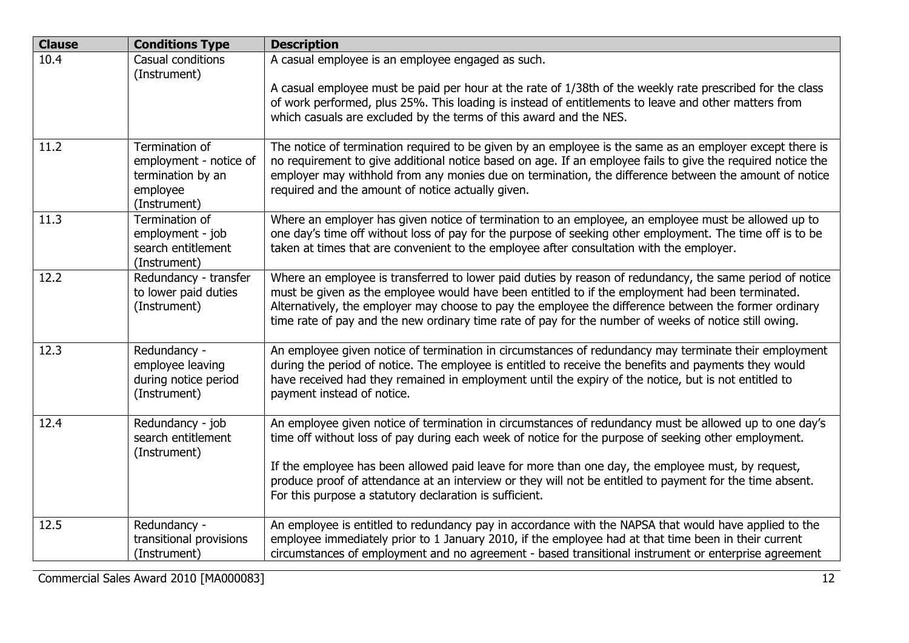| <b>Clause</b> | <b>Conditions Type</b>                                                                    | <b>Description</b>                                                                                                                                                                                                                                                                                                                                                                                                             |
|---------------|-------------------------------------------------------------------------------------------|--------------------------------------------------------------------------------------------------------------------------------------------------------------------------------------------------------------------------------------------------------------------------------------------------------------------------------------------------------------------------------------------------------------------------------|
| 10.4          | Casual conditions<br>(Instrument)                                                         | A casual employee is an employee engaged as such.                                                                                                                                                                                                                                                                                                                                                                              |
|               |                                                                                           | A casual employee must be paid per hour at the rate of 1/38th of the weekly rate prescribed for the class<br>of work performed, plus 25%. This loading is instead of entitlements to leave and other matters from<br>which casuals are excluded by the terms of this award and the NES.                                                                                                                                        |
| 11.2          | Termination of<br>employment - notice of<br>termination by an<br>employee<br>(Instrument) | The notice of termination required to be given by an employee is the same as an employer except there is<br>no requirement to give additional notice based on age. If an employee fails to give the required notice the<br>employer may withhold from any monies due on termination, the difference between the amount of notice<br>required and the amount of notice actually given.                                          |
| 11.3          | Termination of<br>employment - job<br>search entitlement<br>(Instrument)                  | Where an employer has given notice of termination to an employee, an employee must be allowed up to<br>one day's time off without loss of pay for the purpose of seeking other employment. The time off is to be<br>taken at times that are convenient to the employee after consultation with the employer.                                                                                                                   |
| 12.2          | Redundancy - transfer<br>to lower paid duties<br>(Instrument)                             | Where an employee is transferred to lower paid duties by reason of redundancy, the same period of notice<br>must be given as the employee would have been entitled to if the employment had been terminated.<br>Alternatively, the employer may choose to pay the employee the difference between the former ordinary<br>time rate of pay and the new ordinary time rate of pay for the number of weeks of notice still owing. |
| 12.3          | Redundancy -<br>employee leaving<br>during notice period<br>(Instrument)                  | An employee given notice of termination in circumstances of redundancy may terminate their employment<br>during the period of notice. The employee is entitled to receive the benefits and payments they would<br>have received had they remained in employment until the expiry of the notice, but is not entitled to<br>payment instead of notice.                                                                           |
| 12.4          | Redundancy - job<br>search entitlement<br>(Instrument)                                    | An employee given notice of termination in circumstances of redundancy must be allowed up to one day's<br>time off without loss of pay during each week of notice for the purpose of seeking other employment.                                                                                                                                                                                                                 |
|               |                                                                                           | If the employee has been allowed paid leave for more than one day, the employee must, by request,<br>produce proof of attendance at an interview or they will not be entitled to payment for the time absent.<br>For this purpose a statutory declaration is sufficient.                                                                                                                                                       |
| 12.5          | Redundancy -<br>transitional provisions<br>(Instrument)                                   | An employee is entitled to redundancy pay in accordance with the NAPSA that would have applied to the<br>employee immediately prior to 1 January 2010, if the employee had at that time been in their current<br>circumstances of employment and no agreement - based transitional instrument or enterprise agreement                                                                                                          |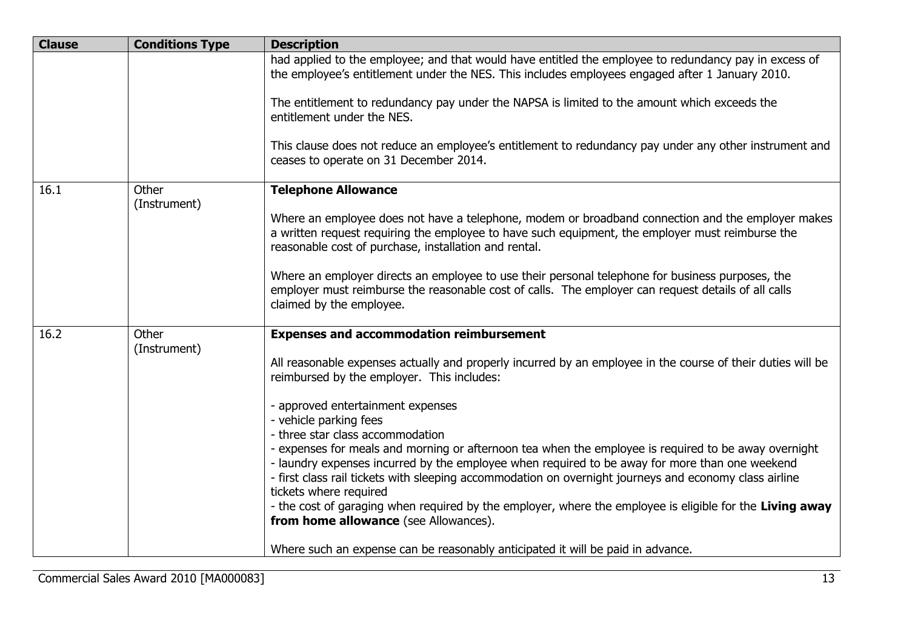| <b>Clause</b> | <b>Conditions Type</b> | <b>Description</b>                                                                                                                                                                                                                                             |
|---------------|------------------------|----------------------------------------------------------------------------------------------------------------------------------------------------------------------------------------------------------------------------------------------------------------|
|               |                        | had applied to the employee; and that would have entitled the employee to redundancy pay in excess of<br>the employee's entitlement under the NES. This includes employees engaged after 1 January 2010.                                                       |
|               |                        | The entitlement to redundancy pay under the NAPSA is limited to the amount which exceeds the<br>entitlement under the NES.                                                                                                                                     |
|               |                        | This clause does not reduce an employee's entitlement to redundancy pay under any other instrument and<br>ceases to operate on 31 December 2014.                                                                                                               |
| 16.1          | Other<br>(Instrument)  | <b>Telephone Allowance</b>                                                                                                                                                                                                                                     |
|               |                        | Where an employee does not have a telephone, modem or broadband connection and the employer makes<br>a written request requiring the employee to have such equipment, the employer must reimburse the<br>reasonable cost of purchase, installation and rental. |
|               |                        | Where an employer directs an employee to use their personal telephone for business purposes, the<br>employer must reimburse the reasonable cost of calls. The employer can request details of all calls<br>claimed by the employee.                            |
| 16.2          | Other<br>(Instrument)  | <b>Expenses and accommodation reimbursement</b>                                                                                                                                                                                                                |
|               |                        | All reasonable expenses actually and properly incurred by an employee in the course of their duties will be<br>reimbursed by the employer. This includes:                                                                                                      |
|               |                        | - approved entertainment expenses                                                                                                                                                                                                                              |
|               |                        | - vehicle parking fees<br>- three star class accommodation                                                                                                                                                                                                     |
|               |                        | - expenses for meals and morning or afternoon tea when the employee is required to be away overnight                                                                                                                                                           |
|               |                        | - laundry expenses incurred by the employee when required to be away for more than one weekend<br>- first class rail tickets with sleeping accommodation on overnight journeys and economy class airline<br>tickets where required                             |
|               |                        | - the cost of garaging when required by the employer, where the employee is eligible for the Living away<br>from home allowance (see Allowances).                                                                                                              |
|               |                        | Where such an expense can be reasonably anticipated it will be paid in advance.                                                                                                                                                                                |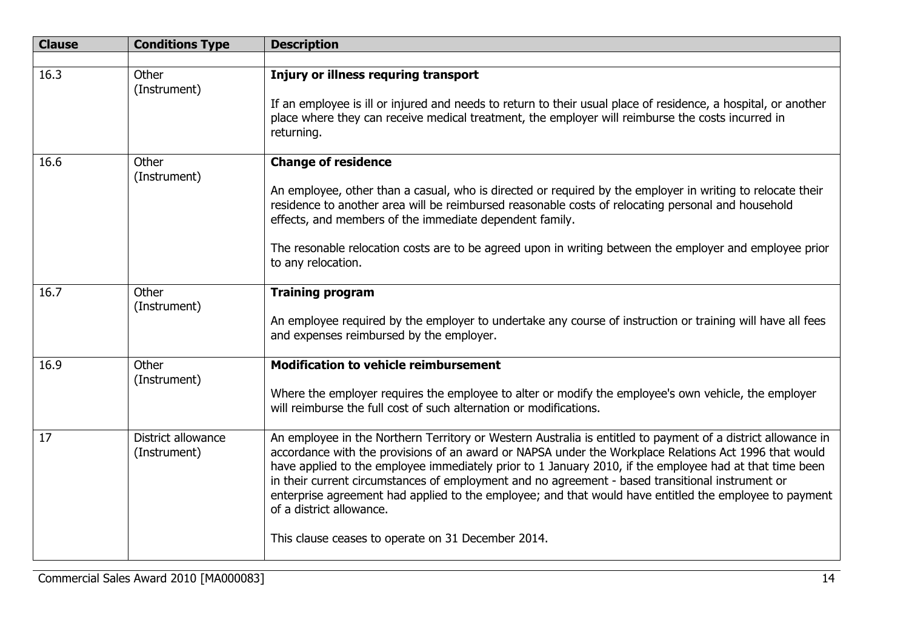| <b>Clause</b> | <b>Conditions Type</b>             | <b>Description</b>                                                                                                                                                                                                                                                                                                                                                                                                                                                                                                                                                                                                               |
|---------------|------------------------------------|----------------------------------------------------------------------------------------------------------------------------------------------------------------------------------------------------------------------------------------------------------------------------------------------------------------------------------------------------------------------------------------------------------------------------------------------------------------------------------------------------------------------------------------------------------------------------------------------------------------------------------|
|               |                                    |                                                                                                                                                                                                                                                                                                                                                                                                                                                                                                                                                                                                                                  |
| 16.3          | Other<br>(Instrument)              | Injury or illness requring transport<br>If an employee is ill or injured and needs to return to their usual place of residence, a hospital, or another<br>place where they can receive medical treatment, the employer will reimburse the costs incurred in<br>returning.                                                                                                                                                                                                                                                                                                                                                        |
| 16.6          | Other<br>(Instrument)              | <b>Change of residence</b><br>An employee, other than a casual, who is directed or required by the employer in writing to relocate their<br>residence to another area will be reimbursed reasonable costs of relocating personal and household<br>effects, and members of the immediate dependent family.<br>The resonable relocation costs are to be agreed upon in writing between the employer and employee prior<br>to any relocation.                                                                                                                                                                                       |
|               |                                    |                                                                                                                                                                                                                                                                                                                                                                                                                                                                                                                                                                                                                                  |
| 16.7          | Other<br>(Instrument)              | <b>Training program</b><br>An employee required by the employer to undertake any course of instruction or training will have all fees<br>and expenses reimbursed by the employer.                                                                                                                                                                                                                                                                                                                                                                                                                                                |
| 16.9          | Other<br>(Instrument)              | <b>Modification to vehicle reimbursement</b><br>Where the employer requires the employee to alter or modify the employee's own vehicle, the employer<br>will reimburse the full cost of such alternation or modifications.                                                                                                                                                                                                                                                                                                                                                                                                       |
| 17            | District allowance<br>(Instrument) | An employee in the Northern Territory or Western Australia is entitled to payment of a district allowance in<br>accordance with the provisions of an award or NAPSA under the Workplace Relations Act 1996 that would<br>have applied to the employee immediately prior to 1 January 2010, if the employee had at that time been<br>in their current circumstances of employment and no agreement - based transitional instrument or<br>enterprise agreement had applied to the employee; and that would have entitled the employee to payment<br>of a district allowance.<br>This clause ceases to operate on 31 December 2014. |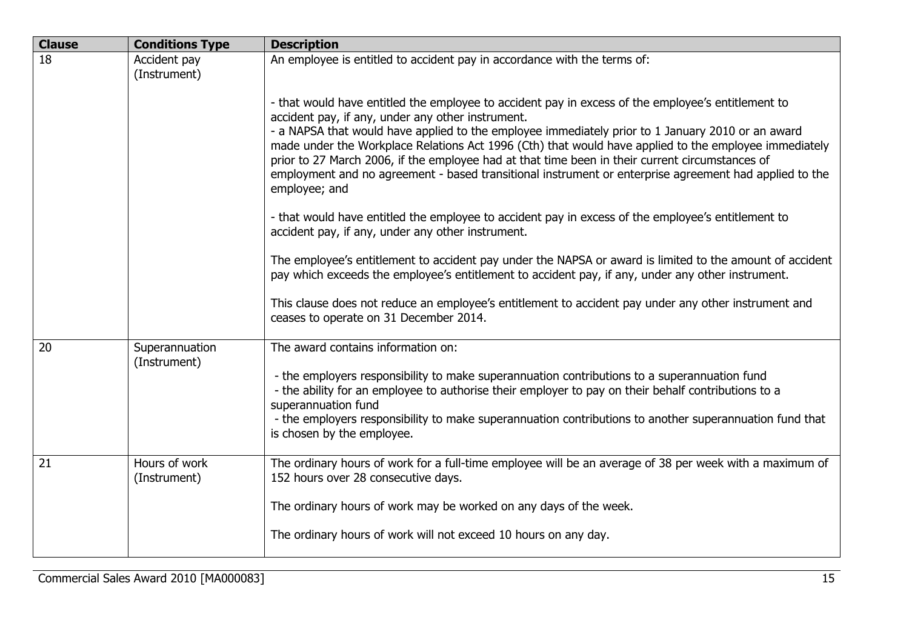| <b>Clause</b> | <b>Conditions Type</b>         | <b>Description</b>                                                                                                                                                                                                                                                                                                                                                    |
|---------------|--------------------------------|-----------------------------------------------------------------------------------------------------------------------------------------------------------------------------------------------------------------------------------------------------------------------------------------------------------------------------------------------------------------------|
| 18            | Accident pay<br>(Instrument)   | An employee is entitled to accident pay in accordance with the terms of:                                                                                                                                                                                                                                                                                              |
|               |                                | - that would have entitled the employee to accident pay in excess of the employee's entitlement to<br>accident pay, if any, under any other instrument.<br>- a NAPSA that would have applied to the employee immediately prior to 1 January 2010 or an award<br>made under the Workplace Relations Act 1996 (Cth) that would have applied to the employee immediately |
|               |                                | prior to 27 March 2006, if the employee had at that time been in their current circumstances of<br>employment and no agreement - based transitional instrument or enterprise agreement had applied to the<br>employee; and                                                                                                                                            |
|               |                                | - that would have entitled the employee to accident pay in excess of the employee's entitlement to<br>accident pay, if any, under any other instrument.                                                                                                                                                                                                               |
|               |                                | The employee's entitlement to accident pay under the NAPSA or award is limited to the amount of accident<br>pay which exceeds the employee's entitlement to accident pay, if any, under any other instrument.                                                                                                                                                         |
|               |                                | This clause does not reduce an employee's entitlement to accident pay under any other instrument and<br>ceases to operate on 31 December 2014.                                                                                                                                                                                                                        |
| 20            | Superannuation<br>(Instrument) | The award contains information on:                                                                                                                                                                                                                                                                                                                                    |
|               |                                | - the employers responsibility to make superannuation contributions to a superannuation fund<br>- the ability for an employee to authorise their employer to pay on their behalf contributions to a<br>superannuation fund                                                                                                                                            |
|               |                                | - the employers responsibility to make superannuation contributions to another superannuation fund that<br>is chosen by the employee.                                                                                                                                                                                                                                 |
| 21            | Hours of work<br>(Instrument)  | The ordinary hours of work for a full-time employee will be an average of 38 per week with a maximum of<br>152 hours over 28 consecutive days.                                                                                                                                                                                                                        |
|               |                                | The ordinary hours of work may be worked on any days of the week.                                                                                                                                                                                                                                                                                                     |
|               |                                | The ordinary hours of work will not exceed 10 hours on any day.                                                                                                                                                                                                                                                                                                       |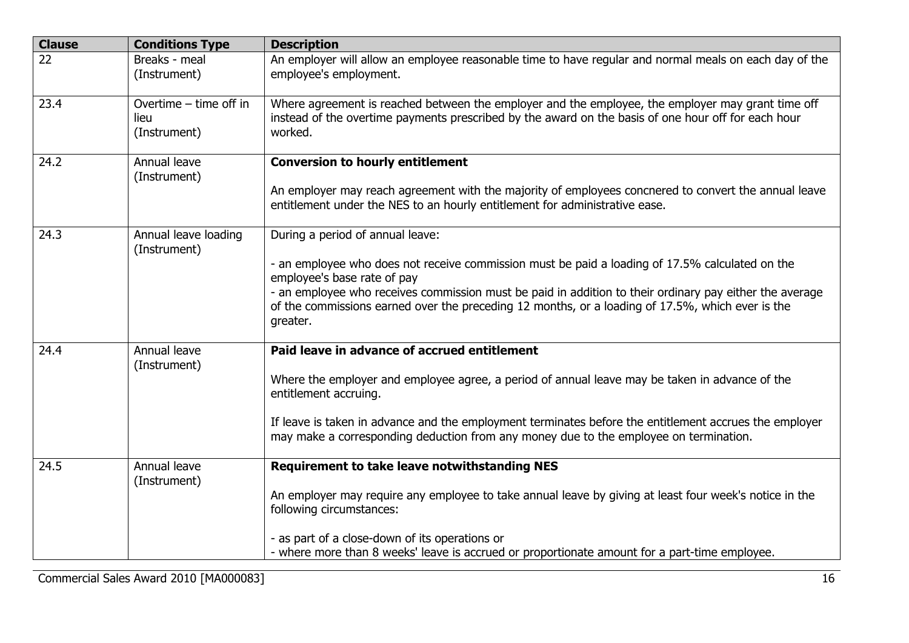| <b>Clause</b> | <b>Conditions Type</b>                         | <b>Description</b>                                                                                                                                                                                                                                                                                                                                                                            |
|---------------|------------------------------------------------|-----------------------------------------------------------------------------------------------------------------------------------------------------------------------------------------------------------------------------------------------------------------------------------------------------------------------------------------------------------------------------------------------|
| 22            | Breaks - meal<br>(Instrument)                  | An employer will allow an employee reasonable time to have regular and normal meals on each day of the<br>employee's employment.                                                                                                                                                                                                                                                              |
| 23.4          | Overtime - time off in<br>lieu<br>(Instrument) | Where agreement is reached between the employer and the employee, the employer may grant time off<br>instead of the overtime payments prescribed by the award on the basis of one hour off for each hour<br>worked.                                                                                                                                                                           |
| 24.2          | Annual leave<br>(Instrument)                   | <b>Conversion to hourly entitlement</b><br>An employer may reach agreement with the majority of employees concnered to convert the annual leave<br>entitlement under the NES to an hourly entitlement for administrative ease.                                                                                                                                                                |
| 24.3          | Annual leave loading<br>(Instrument)           | During a period of annual leave:<br>- an employee who does not receive commission must be paid a loading of 17.5% calculated on the<br>employee's base rate of pay<br>- an employee who receives commission must be paid in addition to their ordinary pay either the average<br>of the commissions earned over the preceding 12 months, or a loading of 17.5%, which ever is the<br>greater. |
| 24.4          | Annual leave<br>(Instrument)                   | Paid leave in advance of accrued entitlement<br>Where the employer and employee agree, a period of annual leave may be taken in advance of the<br>entitlement accruing.<br>If leave is taken in advance and the employment terminates before the entitlement accrues the employer<br>may make a corresponding deduction from any money due to the employee on termination.                    |
| 24.5          | Annual leave<br>(Instrument)                   | <b>Requirement to take leave notwithstanding NES</b><br>An employer may require any employee to take annual leave by giving at least four week's notice in the<br>following circumstances:<br>- as part of a close-down of its operations or<br>- where more than 8 weeks' leave is accrued or proportionate amount for a part-time employee.                                                 |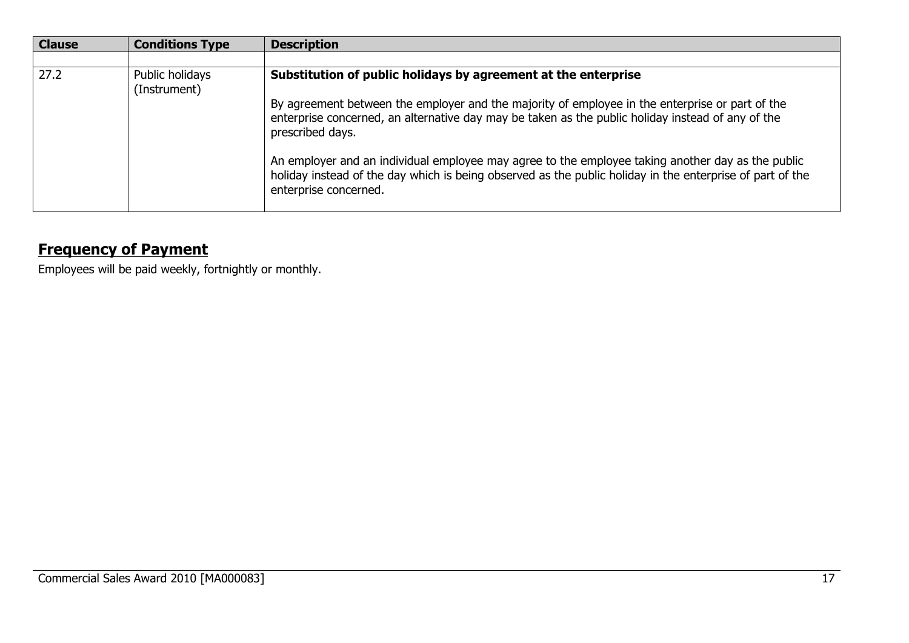| <b>Clause</b> | <b>Conditions Type</b>          | <b>Description</b>                                                                                                                                                                                                                      |
|---------------|---------------------------------|-----------------------------------------------------------------------------------------------------------------------------------------------------------------------------------------------------------------------------------------|
|               |                                 |                                                                                                                                                                                                                                         |
| 27.2          | Public holidays<br>(Instrument) | Substitution of public holidays by agreement at the enterprise                                                                                                                                                                          |
|               |                                 | By agreement between the employer and the majority of employee in the enterprise or part of the<br>enterprise concerned, an alternative day may be taken as the public holiday instead of any of the<br>prescribed days.                |
|               |                                 | An employer and an individual employee may agree to the employee taking another day as the public<br>holiday instead of the day which is being observed as the public holiday in the enterprise of part of the<br>enterprise concerned. |

# **Frequency of Payment**

Employees will be paid weekly, fortnightly or monthly.